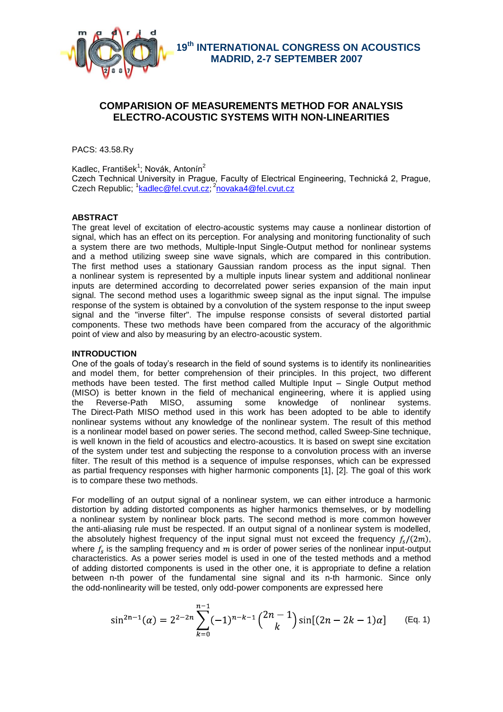

 **19th INTERNATIONAL CONGRESS ON ACOUSTICS MADRID, 2-7 SEPTEMBER 2007**

# **COMPARISION OF MEASUREMENTS METHOD FOR ANALYSIS ELECTRO-ACOUSTIC SYSTEMS WITH NON-LINEARITIES**

PACS: 43.58.Ry

Kadlec, František<sup>1</sup>; Novák, Antonín<sup>2</sup>

Czech Technical University in Prague, Faculty of Electrical Engineering, Technická 2, Prague, Czech Republic; <sup>1</sup>[kadlec@fel.cvut.cz;](mailto:kadlec@fel.cvut.cz) <sup>2</sup>[novaka4@fel.cvut.cz](mailto:novaka4@fel.cvut.cz)

# **ABSTRACT**

The great level of excitation of electro-acoustic systems may cause a nonlinear distortion of signal, which has an effect on its perception. For analysing and monitoring functionality of such a system there are two methods, Multiple-Input Single-Output method for nonlinear systems and a method utilizing sweep sine wave signals, which are compared in this contribution. The first method uses a stationary Gaussian random process as the input signal. Then a nonlinear system is represented by a multiple inputs linear system and additional nonlinear inputs are determined according to decorrelated power series expansion of the main input signal. The second method uses a logarithmic sweep signal as the input signal. The impulse response of the system is obtained by a convolution of the system response to the input sweep signal and the "inverse filter". The impulse response consists of several distorted partial components. These two methods have been compared from the accuracy of the algorithmic point of view and also by measuring by an electro-acoustic system.

# **INTRODUCTION**

One of the goals of today's research in the field of sound systems is to identify its nonlinearities and model them, for better comprehension of their principles. In this project, two different methods have been tested. The first method called Multiple Input – Single Output method (MISO) is better known in the field of mechanical engineering, where it is applied using the Reverse-Path MISO, assuming some knowledge of nonlinear systems. The Direct-Path MISO method used in this work has been adopted to be able to identify nonlinear systems without any knowledge of the nonlinear system. The result of this method is a nonlinear model based on power series. The second method, called Sweep-Sine technique, is well known in the field of acoustics and electro-acoustics. It is based on swept sine excitation of the system under test and subjecting the response to a convolution process with an inverse filter. The result of this method is a sequence of impulse responses, which can be expressed as partial frequency responses with higher harmonic components [1], [2]. The goal of this work is to compare these two methods.

For modelling of an output signal of a nonlinear system, we can either introduce a harmonic distortion by adding distorted components as higher harmonics themselves, or by modelling a nonlinear system by nonlinear block parts. The second method is more common however the anti-aliasing rule must be respected. If an output signal of a nonlinear system is modelled, the absolutely highest frequency of the input signal must not exceed the frequency  $f_s/(2m)$ , where  $f_s$  is the sampling frequency and  $m$  is order of power series of the nonlinear input-output characteristics. As a power series model is used in one of the tested methods and a method of adding distorted components is used in the other one, it is appropriate to define a relation between n-th power of the fundamental sine signal and its n-th harmonic. Since only the odd-nonlinearity will be tested, only odd-power components are expressed here

$$
\sin^{2n-1}(\alpha) = 2^{2-2n} \sum_{k=0}^{n-1} (-1)^{n-k-1} {2n-1 \choose k} \sin[(2n-2k-1)\alpha]
$$
 (Eq. 1)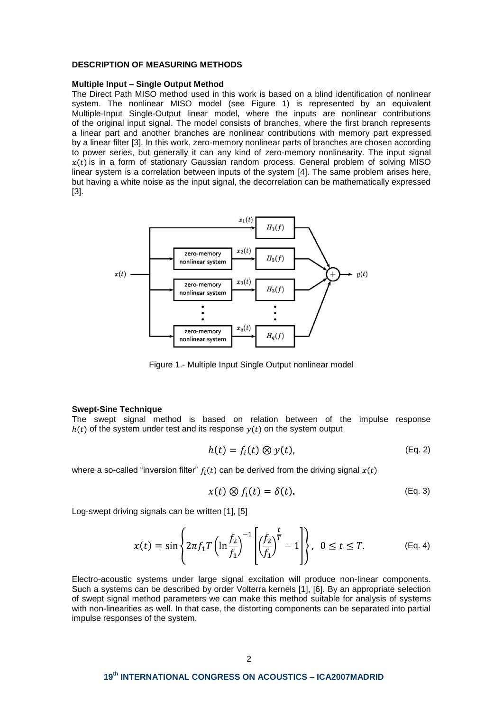### **DESCRIPTION OF MEASURING METHODS**

#### **Multiple Input – Single Output Method**

The Direct Path MISO method used in this work is based on a blind identification of nonlinear system. The nonlinear MISO model (see Figure 1) is represented by an equivalent Multiple-Input Single-Output linear model, where the inputs are nonlinear contributions of the original input signal. The model consists of branches, where the first branch represents a linear part and another branches are nonlinear contributions with memory part expressed by a linear filter [3]. In this work, zero-memory nonlinear parts of branches are chosen according to power series, but generally it can any kind of zero-memory nonlinearity. The input signal  $x(t)$  is in a form of stationary Gaussian random process. General problem of solving MISO linear system is a correlation between inputs of the system [4]. The same problem arises here, but having a white noise as the input signal, the decorrelation can be mathematically expressed [3].



Figure 1.- Multiple Input Single Output nonlinear model

#### **Swept-Sine Technique**

The swept signal method is based on relation between of the impulse response  $h(t)$  of the system under test and its response  $y(t)$  on the system output

$$
h(t) = f_i(t) \otimes y(t), \qquad (Eq. 2)
$$

where a so-called "inversion filter"  $f_i(t)$  can be derived from the driving signal  $x(t)$ 

$$
x(t) \otimes f_i(t) = \delta(t).
$$
 (Eq. 3)

Log-swept driving signals can be written [1], [5]

$$
x(t) = \sin\left\{2\pi f_1 T \left(\ln \frac{f_2}{f_1}\right)^{-1} \left[\left(\frac{f_2}{f_1}\right)^{\frac{t}{T}} - 1\right]\right\}, \ \ 0 \le t \le T. \tag{Eq. 4}
$$

Electro-acoustic systems under large signal excitation will produce non-linear components. Such a systems can be described by order Volterra kernels [1], [6]. By an appropriate selection of swept signal method parameters we can make this method suitable for analysis of systems with non-linearities as well. In that case, the distorting components can be separated into partial impulse responses of the system.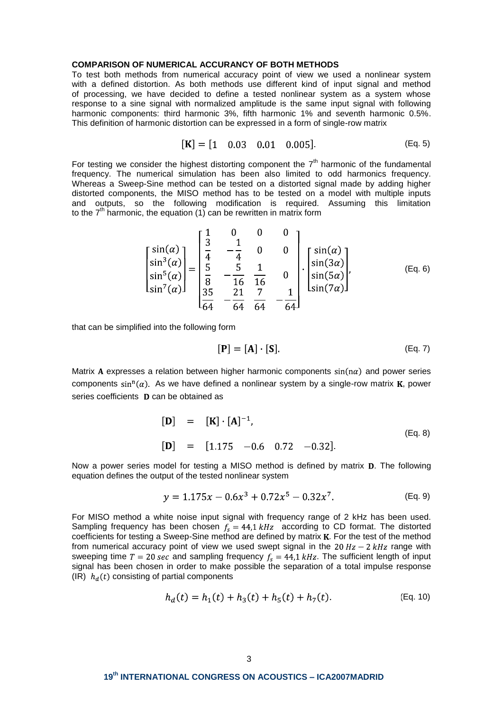### **COMPARISON OF NUMERICAL ACCURANCY OF BOTH METHODS**

To test both methods from numerical accuracy point of view we used a nonlinear system with a defined distortion. As both methods use different kind of input signal and method of processing, we have decided to define a tested nonlinear system as a system whose response to a sine signal with normalized amplitude is the same input signal with following harmonic components: third harmonic 3%, fifth harmonic 1% and seventh harmonic 0.5%. This definition of harmonic distortion can be expressed in a form of single-row matrix

$$
[\mathbf{K}] = [1 \quad 0.03 \quad 0.01 \quad 0.005]. \tag{Eq. 5}
$$

For testing we consider the highest distorting component the  $7<sup>th</sup>$  harmonic of the fundamental frequency. The numerical simulation has been also limited to odd harmonics frequency. Whereas a Sweep-Sine method can be tested on a distorted signal made by adding higher distorted components, the MISO method has to be tested on a model with multiple inputs and outputs, so the following modification is required. Assuming this limitation to the  $7<sup>th</sup>$  harmonic, the equation (1) can be rewritten in matrix form

$$
\begin{bmatrix} \sin(\alpha) \\ \sin^3(\alpha) \\ \sin^5(\alpha) \\ \sin^7(\alpha) \end{bmatrix} = \begin{bmatrix} \frac{1}{3} & 0 & 0 & 0 \\ \frac{1}{4} & -\frac{1}{4} & 0 & 0 \\ \frac{5}{8} & -\frac{5}{16} & \frac{1}{16} & 0 \\ \frac{35}{84} & -\frac{21}{64} & \frac{7}{64} & -\frac{1}{64} \end{bmatrix} \cdot \begin{bmatrix} \sin(\alpha) \\ \sin(3\alpha) \\ \sin(5\alpha) \\ \sin(7\alpha) \end{bmatrix},
$$
 (Eq. 6)

that can be simplified into the following form

$$
[\mathbf{P}] = [\mathbf{A}] \cdot [\mathbf{S}]. \tag{Eq. 7}
$$

Matrix A expresses a relation between higher harmonic components  $sin(n\alpha)$  and power series components  $\sin^n(\alpha)$ . As we have defined a nonlinear system by a single-row matrix **K**, power series coefficients **D** can be obtained as

$$
\begin{array}{rcl}\n[\mathbf{D}] & = & [\mathbf{K}] \cdot [\mathbf{A}]^{-1}, \\
[\mathbf{D}] & = & [1.175 \quad -0.6 \quad 0.72 \quad -0.32].\n\end{array} \tag{Eq. 8}
$$

Now a power series model for testing a MISO method is defined by matrix **D**. The following equation defines the output of the tested nonlinear system

$$
y = 1.175x - 0.6x^3 + 0.72x^5 - 0.32x^7. \tag{Eq. 9}
$$

For MISO method a white noise input signal with frequency range of 2 kHz has been used. Sampling frequency has been chosen  $f_s = 44.1 \, kHz$  according to CD format. The distorted coefficients for testing a Sweep-Sine method are defined by matrix K. For the test of the method from numerical accuracy point of view we used swept signal in the 20  $Hz - 2 kHz$  range with sweeping time  $T = 20 \text{ sec}$  and sampling frequency  $f_s = 44.1 \text{ kHz}$ . The sufficient length of input signal has been chosen in order to make possible the separation of a total impulse response (IR)  $h_d(t)$  consisting of partial components

$$
h_d(t) = h_1(t) + h_3(t) + h_5(t) + h_7(t).
$$
 (Eq. 10)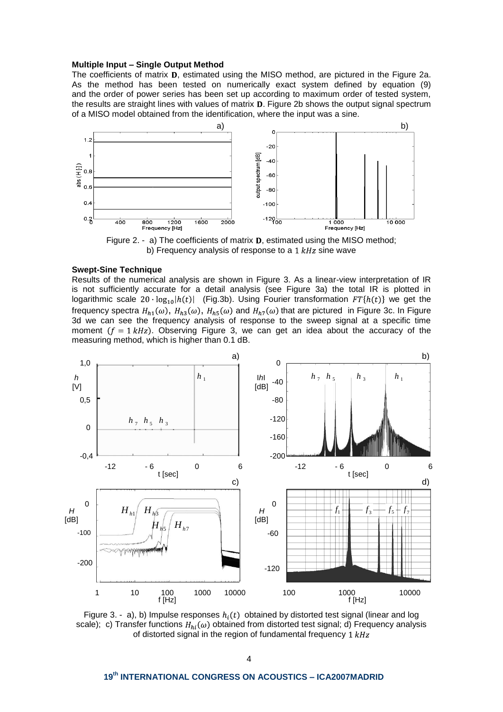### **Multiple Input – Single Output Method**

The coefficients of matrix  $D$ , estimated using the MISO method, are pictured in the Figure 2a. As the method has been tested on numerically exact system defined by equation (9) and the order of power series has been set up according to maximum order of tested system, the results are straight lines with values of matrix **D**. Figure 2b shows the output signal spectrum of a MISO model obtained from the identification, where the input was a sine.



Figure 2. - a) The coefficients of matrix  $D$ , estimated using the MISO method; b) Frequency analysis of response to a  $1 kHz$  sine wave

#### **Swept-Sine Technique**

Results of the numerical analysis are shown in Figure 3. As a linear-view interpretation of IR is not sufficiently accurate for a detail analysis (see Figure 3a) the total IR is plotted in logarithmic scale  $20 \cdot \log_{10}h(t)$  (Fig.3b). Using Fourier transformation  $FT\{h(t)\}$  we get the frequency spectra  $H_{h1}(\omega)$ ,  $H_{h3}(\omega)$ ,  $H_{h5}(\omega)$  and  $H_{h7}(\omega)$  that are pictured in Figure 3c. In Figure 3d we can see the frequency analysis of response to the sweep signal at a specific time moment  $(f = 1 kHz)$ . Observing Figure 3, we can get an idea about the accuracy of the measuring method, which is higher than 0.1 dB.



Figure 3. - a), b) Impulse responses  $h_i(t)$  obtained by distorted test signal (linear and log scale); c) Transfer functions  $H_{hi}(\omega)$  obtained from distorted test signal; d) Frequency analysis of distorted signal in the region of fundamental frequency  $1 kHz$ 

# **19th INTERNATIONAL CONGRESS ON ACOUSTICS – ICA2007MADRID**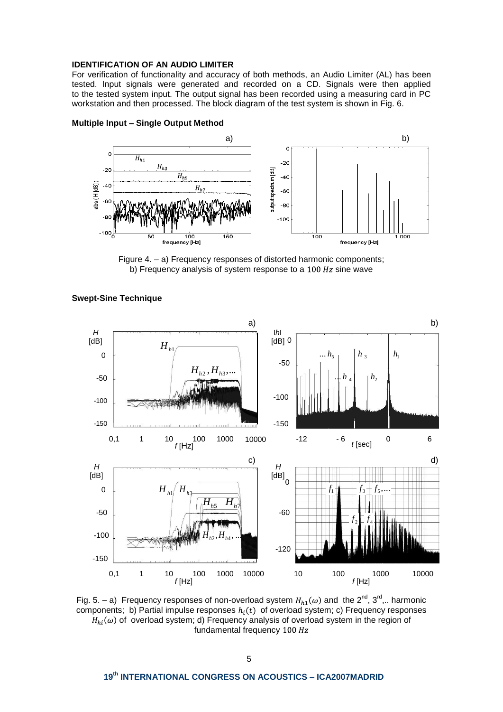# **IDENTIFICATION OF AN AUDIO LIMITER**

For verification of functionality and accuracy of both methods, an Audio Limiter (AL) has been tested. Input signals were generated and recorded on a CD. Signals were then applied to the tested system input. The output signal has been recorded using a measuring card in PC workstation and then processed. The block diagram of the test system is shown in Fig. 6.



### **Multiple Input – Single Output Method**

Figure 4. – a) Frequency responses of distorted harmonic components; b) Frequency analysis of system response to a  $100 Hz$  sine wave



### **Swept-Sine Technique**

Fig. 5. – a) Frequency responses of non-overload system  $H_{h1}(\omega)$  and the  $2^{nd}$ ,  $3^{rd}$ ,.. harmonic components; b) Partial impulse responses  $h_i(t)$  of overload system; c) Frequency responses  $H_{hi}(\omega)$  of overload system; d) Frequency analysis of overload system in the region of fundamental frequency 100 Hz

# **19th INTERNATIONAL CONGRESS ON ACOUSTICS – ICA2007MADRID**